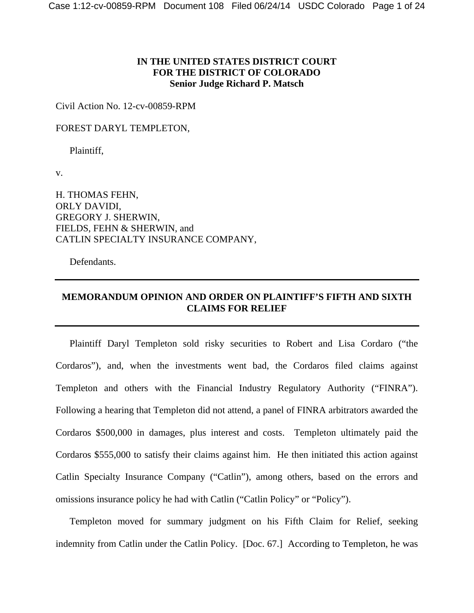## **IN THE UNITED STATES DISTRICT COURT FOR THE DISTRICT OF COLORADO Senior Judge Richard P. Matsch**

Civil Action No. 12-cv-00859-RPM

FOREST DARYL TEMPLETON,

Plaintiff,

v.

H. THOMAS FEHN, ORLY DAVIDI, GREGORY J. SHERWIN, FIELDS, FEHN & SHERWIN, and CATLIN SPECIALTY INSURANCE COMPANY,

Defendants.

## **MEMORANDUM OPINION AND ORDER ON PLAINTIFF'S FIFTH AND SIXTH CLAIMS FOR RELIEF**

 Plaintiff Daryl Templeton sold risky securities to Robert and Lisa Cordaro ("the Cordaros"), and, when the investments went bad, the Cordaros filed claims against Templeton and others with the Financial Industry Regulatory Authority ("FINRA"). Following a hearing that Templeton did not attend, a panel of FINRA arbitrators awarded the Cordaros \$500,000 in damages, plus interest and costs. Templeton ultimately paid the Cordaros \$555,000 to satisfy their claims against him. He then initiated this action against Catlin Specialty Insurance Company ("Catlin"), among others, based on the errors and omissions insurance policy he had with Catlin ("Catlin Policy" or "Policy").

Templeton moved for summary judgment on his Fifth Claim for Relief, seeking indemnity from Catlin under the Catlin Policy. [Doc. 67.] According to Templeton, he was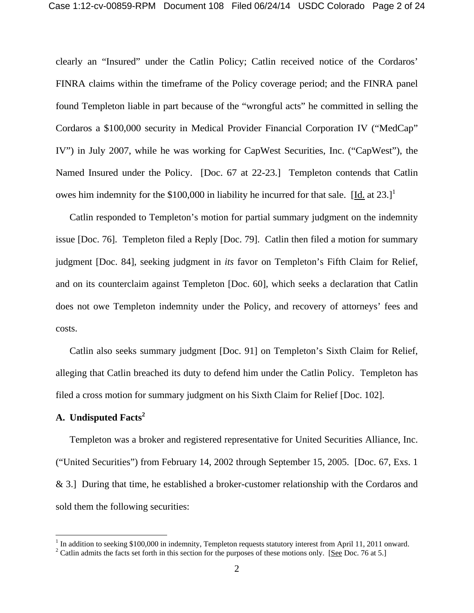clearly an "Insured" under the Catlin Policy; Catlin received notice of the Cordaros' FINRA claims within the timeframe of the Policy coverage period; and the FINRA panel found Templeton liable in part because of the "wrongful acts" he committed in selling the Cordaros a \$100,000 security in Medical Provider Financial Corporation IV ("MedCap" IV") in July 2007, while he was working for CapWest Securities, Inc. ("CapWest"), the Named Insured under the Policy. [Doc. 67 at 22-23.] Templeton contends that Catlin owes him indemnity for the \$100,000 in liability he incurred for that sale. [Id. at  $23.1^1$ ]

 Catlin responded to Templeton's motion for partial summary judgment on the indemnity issue [Doc. 76]. Templeton filed a Reply [Doc. 79]. Catlin then filed a motion for summary judgment [Doc. 84], seeking judgment in *its* favor on Templeton's Fifth Claim for Relief, and on its counterclaim against Templeton [Doc. 60], which seeks a declaration that Catlin does not owe Templeton indemnity under the Policy, and recovery of attorneys' fees and costs.

 Catlin also seeks summary judgment [Doc. 91] on Templeton's Sixth Claim for Relief, alleging that Catlin breached its duty to defend him under the Catlin Policy. Templeton has filed a cross motion for summary judgment on his Sixth Claim for Relief [Doc. 102].

# **A. Undisputed Facts<sup>2</sup>**

 Templeton was a broker and registered representative for United Securities Alliance, Inc. ("United Securities") from February 14, 2002 through September 15, 2005. [Doc. 67, Exs. 1 & 3.] During that time, he established a broker-customer relationship with the Cordaros and sold them the following securities:

<sup>&</sup>lt;sup>1</sup> In addition to seeking \$100,000 in indemnity, Templeton requests statutory interest from April 11, 2011 onward.

<sup>&</sup>lt;sup>2</sup> Catlin admits the facts set forth in this section for the purposes of these motions only. [See Doc. 76 at 5.]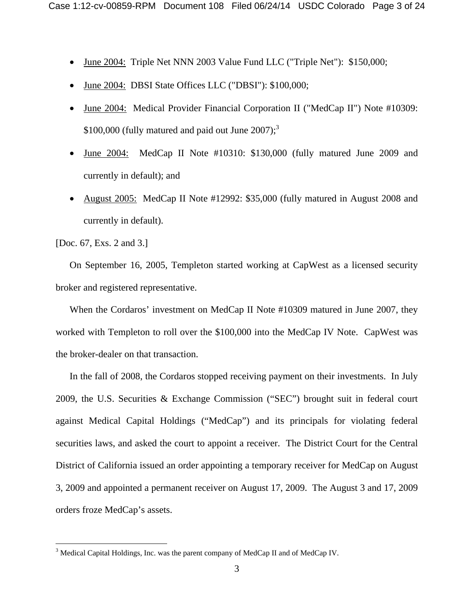- June 2004: Triple Net NNN 2003 Value Fund LLC ("Triple Net"): \$150,000;
- June 2004: DBSI State Offices LLC ("DBSI"): \$100,000;
- June 2004: Medical Provider Financial Corporation II ("MedCap II") Note #10309: \$100,000 (fully matured and paid out June 2007);<sup>3</sup>
- June 2004: MedCap II Note #10310: \$130,000 (fully matured June 2009 and currently in default); and
- August 2005: MedCap II Note #12992: \$35,000 (fully matured in August 2008 and currently in default).

[Doc. 67, Exs. 2 and 3.]

 $\overline{a}$ 

 On September 16, 2005, Templeton started working at CapWest as a licensed security broker and registered representative.

 When the Cordaros' investment on MedCap II Note #10309 matured in June 2007, they worked with Templeton to roll over the \$100,000 into the MedCap IV Note. CapWest was the broker-dealer on that transaction.

 In the fall of 2008, the Cordaros stopped receiving payment on their investments. In July 2009, the U.S. Securities & Exchange Commission ("SEC") brought suit in federal court against Medical Capital Holdings ("MedCap") and its principals for violating federal securities laws, and asked the court to appoint a receiver. The District Court for the Central District of California issued an order appointing a temporary receiver for MedCap on August 3, 2009 and appointed a permanent receiver on August 17, 2009. The August 3 and 17, 2009 orders froze MedCap's assets.

 $3$  Medical Capital Holdings, Inc. was the parent company of MedCap II and of MedCap IV.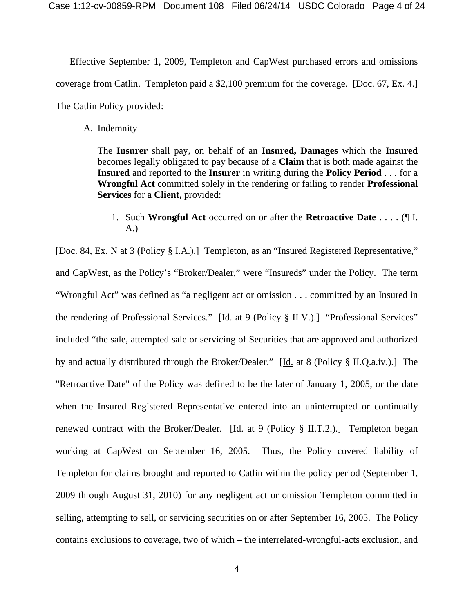Effective September 1, 2009, Templeton and CapWest purchased errors and omissions coverage from Catlin. Templeton paid a \$2,100 premium for the coverage. [Doc. 67, Ex. 4.] The Catlin Policy provided:

A. Indemnity

The **Insurer** shall pay, on behalf of an **Insured, Damages** which the **Insured** becomes legally obligated to pay because of a **Claim** that is both made against the **Insured** and reported to the **Insurer** in writing during the **Policy Period** . . . for a **Wrongful Act** committed solely in the rendering or failing to render **Professional Services** for a **Client,** provided:

1. Such **Wrongful Act** occurred on or after the **Retroactive Date** . . . . (¶ I. A.)

[Doc. 84, Ex. N at 3 (Policy § I.A.).] Templeton, as an "Insured Registered Representative," and CapWest, as the Policy's "Broker/Dealer," were "Insureds" under the Policy. The term "Wrongful Act" was defined as "a negligent act or omission . . . committed by an Insured in the rendering of Professional Services." [Id. at 9 (Policy § II.V.).] "Professional Services" included "the sale, attempted sale or servicing of Securities that are approved and authorized by and actually distributed through the Broker/Dealer." [Id. at 8 (Policy § II.Q.a.iv.).]The "Retroactive Date" of the Policy was defined to be the later of January 1, 2005, or the date when the Insured Registered Representative entered into an uninterrupted or continually renewed contract with the Broker/Dealer.  $[\underline{Id}]$  at 9 (Policy § II.T.2.). Templeton began working at CapWest on September 16, 2005. Thus, the Policy covered liability of Templeton for claims brought and reported to Catlin within the policy period (September 1, 2009 through August 31, 2010) for any negligent act or omission Templeton committed in selling, attempting to sell, or servicing securities on or after September 16, 2005. The Policy contains exclusions to coverage, two of which – the interrelated-wrongful-acts exclusion, and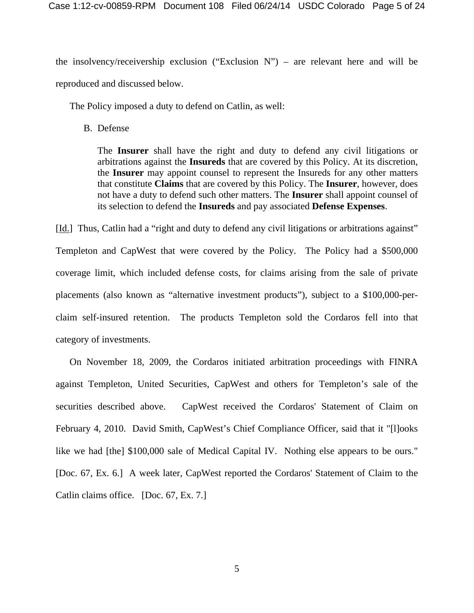the insolvency/receivership exclusion ("Exclusion  $N$ ") – are relevant here and will be reproduced and discussed below.

The Policy imposed a duty to defend on Catlin, as well:

B. Defense

The **Insurer** shall have the right and duty to defend any civil litigations or arbitrations against the **Insureds** that are covered by this Policy. At its discretion, the **Insurer** may appoint counsel to represent the Insureds for any other matters that constitute **Claims** that are covered by this Policy. The **Insurer**, however, does not have a duty to defend such other matters. The **Insurer** shall appoint counsel of its selection to defend the **Insureds** and pay associated **Defense Expenses**.

[Id.] Thus, Catlin had a "right and duty to defend any civil litigations or arbitrations against" Templeton and CapWest that were covered by the Policy. The Policy had a \$500,000 coverage limit, which included defense costs, for claims arising from the sale of private placements (also known as "alternative investment products"), subject to a \$100,000-perclaim self-insured retention. The products Templeton sold the Cordaros fell into that category of investments.

 On November 18, 2009, the Cordaros initiated arbitration proceedings with FINRA against Templeton, United Securities, CapWest and others for Templeton's sale of the securities described above. CapWest received the Cordaros' Statement of Claim on February 4, 2010. David Smith, CapWest's Chief Compliance Officer, said that it "[1]ooks like we had [the] \$100,000 sale of Medical Capital IV. Nothing else appears to be ours." [Doc. 67, Ex. 6.] A week later, CapWest reported the Cordaros' Statement of Claim to the Catlin claims office. [Doc. 67, Ex. 7.]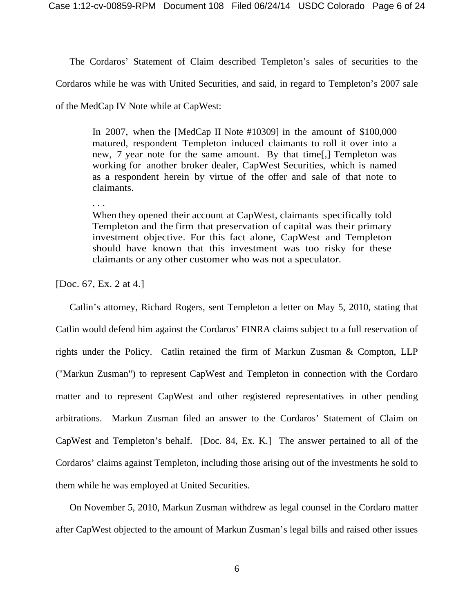The Cordaros' Statement of Claim described Templeton's sales of securities to the

Cordaros while he was with United Securities, and said, in regard to Templeton's 2007 sale

of the MedCap IV Note while at CapWest:

In 2007, when the [MedCap II Note #10309] in the amount of \$100,000 matured, respondent Templeton induced claimants to roll it over into a new, 7 year note for the same amount. By that time[,] Templeton was working for another broker dealer, CapWest Securities, which is named as a respondent herein by virtue of the offer and sale of that note to claimants.

. . .

When they opened their account at CapWest, claimants specifically told Templeton and the firm that preservation of capital was their primary investment objective. For this fact alone, CapWest and Templeton should have known that this investment was too risky for these claimants or any other customer who was not a speculator.

[Doc. 67, Ex. 2 at 4.]

 Catlin's attorney, Richard Rogers, sent Templeton a letter on May 5, 2010, stating that Catlin would defend him against the Cordaros' FINRA claims subject to a full reservation of rights under the Policy. Catlin retained the firm of Markun Zusman & Compton, LLP ("Markun Zusman") to represent CapWest and Templeton in connection with the Cordaro matter and to represent CapWest and other registered representatives in other pending arbitrations. Markun Zusman filed an answer to the Cordaros' Statement of Claim on CapWest and Templeton's behalf. [Doc. 84, Ex. K.] The answer pertained to all of the Cordaros' claims against Templeton, including those arising out of the investments he sold to them while he was employed at United Securities.

On November 5, 2010, Markun Zusman withdrew as legal counsel in the Cordaro matter after CapWest objected to the amount of Markun Zusman's legal bills and raised other issues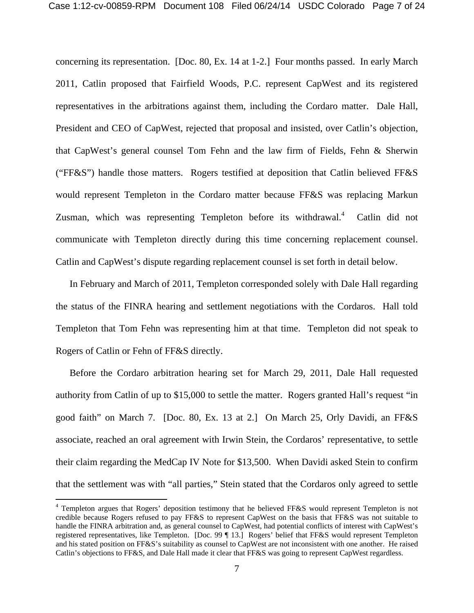concerning its representation. [Doc. 80, Ex. 14 at 1-2.] Four months passed. In early March 2011, Catlin proposed that Fairfield Woods, P.C. represent CapWest and its registered representatives in the arbitrations against them, including the Cordaro matter. Dale Hall, President and CEO of CapWest, rejected that proposal and insisted, over Catlin's objection, that CapWest's general counsel Tom Fehn and the law firm of Fields, Fehn & Sherwin ("FF&S") handle those matters. Rogers testified at deposition that Catlin believed FF&S would represent Templeton in the Cordaro matter because FF&S was replacing Markun Zusman, which was representing Templeton before its withdrawal. $4$  Catlin did not communicate with Templeton directly during this time concerning replacement counsel. Catlin and CapWest's dispute regarding replacement counsel is set forth in detail below.

In February and March of 2011, Templeton corresponded solely with Dale Hall regarding the status of the FINRA hearing and settlement negotiations with the Cordaros. Hall told Templeton that Tom Fehn was representing him at that time. Templeton did not speak to Rogers of Catlin or Fehn of FF&S directly.

Before the Cordaro arbitration hearing set for March 29, 2011, Dale Hall requested authority from Catlin of up to \$15,000 to settle the matter. Rogers granted Hall's request "in good faith" on March 7. [Doc. 80, Ex. 13 at 2.] On March 25, Orly Davidi, an FF&S associate, reached an oral agreement with Irwin Stein, the Cordaros' representative, to settle their claim regarding the MedCap IV Note for \$13,500. When Davidi asked Stein to confirm that the settlement was with "all parties," Stein stated that the Cordaros only agreed to settle

l

<sup>&</sup>lt;sup>4</sup> Templeton argues that Rogers' deposition testimony that he believed FF&S would represent Templeton is not credible because Rogers refused to pay FF&S to represent CapWest on the basis that FF&S was not suitable to handle the FINRA arbitration and, as general counsel to CapWest, had potential conflicts of interest with CapWest's registered representatives, like Templeton. [Doc. 99 ¶ 13.] Rogers' belief that FF&S would represent Templeton and his stated position on FF&S's suitability as counsel to CapWest are not inconsistent with one another. He raised Catlin's objections to FF&S, and Dale Hall made it clear that FF&S was going to represent CapWest regardless.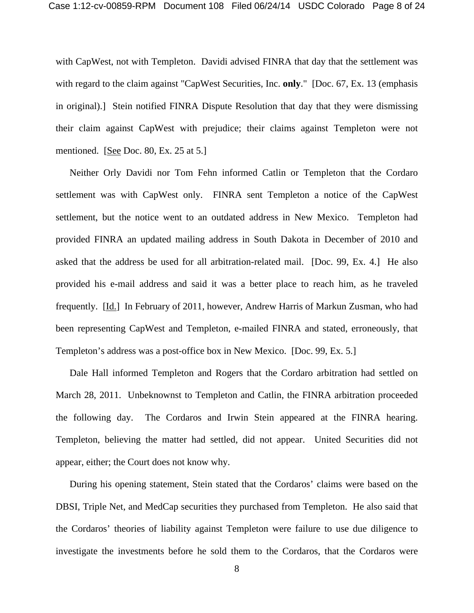with CapWest, not with Templeton. Davidi advised FINRA that day that the settlement was with regard to the claim against "CapWest Securities, Inc. **only**." [Doc. 67, Ex. 13 (emphasis in original).] Stein notified FINRA Dispute Resolution that day that they were dismissing their claim against CapWest with prejudice; their claims against Templeton were not mentioned. [See Doc. 80, Ex. 25 at 5.]

Neither Orly Davidi nor Tom Fehn informed Catlin or Templeton that the Cordaro settlement was with CapWest only. FINRA sent Templeton a notice of the CapWest settlement, but the notice went to an outdated address in New Mexico. Templeton had provided FINRA an updated mailing address in South Dakota in December of 2010 and asked that the address be used for all arbitration-related mail. [Doc. 99, Ex. 4.] He also provided his e-mail address and said it was a better place to reach him, as he traveled frequently. [Id.] In February of 2011, however, Andrew Harris of Markun Zusman, who had been representing CapWest and Templeton, e-mailed FINRA and stated, erroneously, that Templeton's address was a post-office box in New Mexico. [Doc. 99, Ex. 5.]

 Dale Hall informed Templeton and Rogers that the Cordaro arbitration had settled on March 28, 2011. Unbeknownst to Templeton and Catlin, the FINRA arbitration proceeded the following day. The Cordaros and Irwin Stein appeared at the FINRA hearing. Templeton, believing the matter had settled, did not appear. United Securities did not appear, either; the Court does not know why.

 During his opening statement, Stein stated that the Cordaros' claims were based on the DBSI, Triple Net, and MedCap securities they purchased from Templeton. He also said that the Cordaros' theories of liability against Templeton were failure to use due diligence to investigate the investments before he sold them to the Cordaros, that the Cordaros were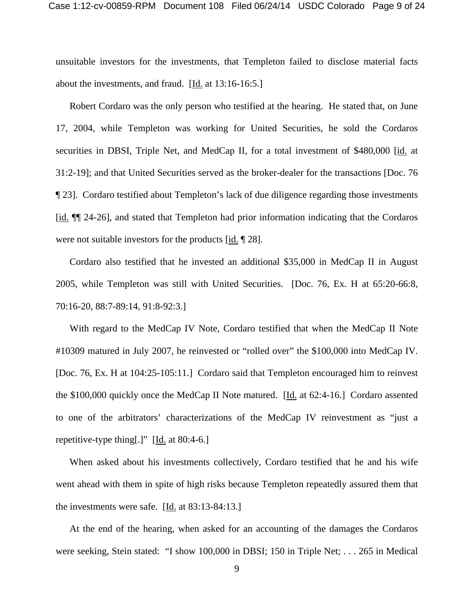unsuitable investors for the investments, that Templeton failed to disclose material facts about the investments, and fraud. [Id. at 13:16-16:5.]

 Robert Cordaro was the only person who testified at the hearing. He stated that, on June 17, 2004, while Templeton was working for United Securities, he sold the Cordaros securities in DBSI, Triple Net, and MedCap II, for a total investment of \$480,000 [id. at 31:2-19]; and that United Securities served as the broker-dealer for the transactions [Doc. 76 ¶ 23]. Cordaro testified about Templeton's lack of due diligence regarding those investments [id. ¶¶ 24-26], and stated that Templeton had prior information indicating that the Cordaros were not suitable investors for the products [id. 1] 28].

 Cordaro also testified that he invested an additional \$35,000 in MedCap II in August 2005, while Templeton was still with United Securities. [Doc. 76, Ex. H at 65:20-66:8, 70:16-20, 88:7-89:14, 91:8-92:3.]

 With regard to the MedCap IV Note, Cordaro testified that when the MedCap II Note #10309 matured in July 2007, he reinvested or "rolled over" the \$100,000 into MedCap IV. [Doc. 76, Ex. H at 104:25-105:11.] Cordaro said that Templeton encouraged him to reinvest the \$100,000 quickly once the MedCap II Note matured. [Id. at 62:4-16.] Cordaro assented to one of the arbitrators' characterizations of the MedCap IV reinvestment as "just a repetitive-type thing[.]"  $[\underline{Id}$  at 80:4-6.]

 When asked about his investments collectively, Cordaro testified that he and his wife went ahead with them in spite of high risks because Templeton repeatedly assured them that the investments were safe.  $[\underline{Id}$  at 83:13-84:13.]

 At the end of the hearing, when asked for an accounting of the damages the Cordaros were seeking, Stein stated: "I show 100,000 in DBSI; 150 in Triple Net; . . . 265 in Medical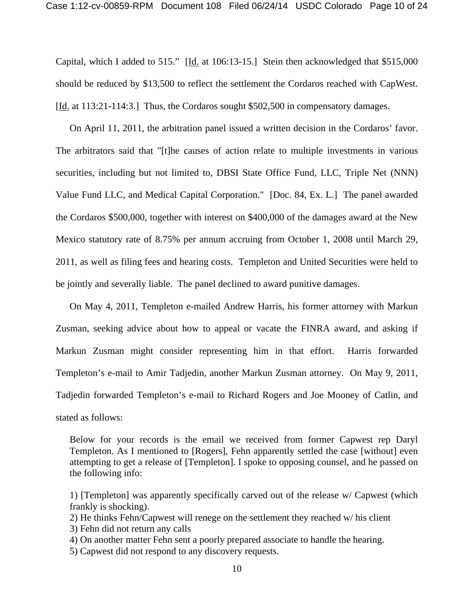Capital, which I added to 515." [Id. at 106:13-15.] Stein then acknowledged that \$515,000 should be reduced by \$13,500 to reflect the settlement the Cordaros reached with CapWest. [<u>Id.</u> at 113:21-114:3.] Thus, the Cordaros sought \$502,500 in compensatory damages.

 On April 11, 2011, the arbitration panel issued a written decision in the Cordaros' favor. The arbitrators said that "[t]he causes of action relate to multiple investments in various securities, including but not limited to, DBSI State Office Fund, LLC, Triple Net (NNN) Value Fund LLC, and Medical Capital Corporation." [Doc. 84, Ex. L.] The panel awarded the Cordaros \$500,000, together with interest on \$400,000 of the damages award at the New Mexico statutory rate of 8.75% per annum accruing from October 1, 2008 until March 29, 2011, as well as filing fees and hearing costs. Templeton and United Securities were held to be jointly and severally liable. The panel declined to award punitive damages.

 On May 4, 2011, Templeton e-mailed Andrew Harris, his former attorney with Markun Zusman, seeking advice about how to appeal or vacate the FINRA award, and asking if Markun Zusman might consider representing him in that effort. Harris forwarded Templeton's e-mail to Amir Tadjedin, another Markun Zusman attorney. On May 9, 2011, Tadjedin forwarded Templeton's e-mail to Richard Rogers and Joe Mooney of Catlin, and stated as follows:

Below for your records is the email we received from former Capwest rep Daryl Templeton. As I mentioned to [Rogers], Fehn apparently settled the case [without] even attempting to get a release of [Templeton]. I spoke to opposing counsel, and he passed on the following info:

1) [Templeton] was apparently specifically carved out of the release w/ Capwest (which frankly is shocking).

2) He thinks Fehn/Capwest will renege on the settlement they reached w/ his client

3) Fehn did not return any calls

4) On another matter Fehn sent a poorly prepared associate to handle the hearing.

5) Capwest did not respond to any discovery requests.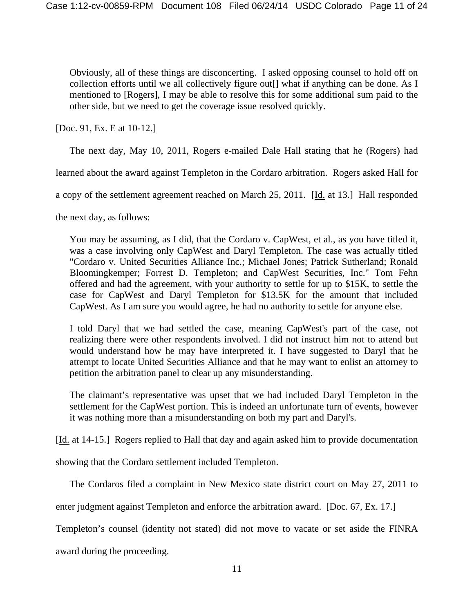Obviously, all of these things are disconcerting. I asked opposing counsel to hold off on collection efforts until we all collectively figure out[] what if anything can be done. As I mentioned to [Rogers], I may be able to resolve this for some additional sum paid to the other side, but we need to get the coverage issue resolved quickly.

[Doc. 91, Ex. E at 10-12.]

The next day, May 10, 2011, Rogers e-mailed Dale Hall stating that he (Rogers) had

learned about the award against Templeton in the Cordaro arbitration. Rogers asked Hall for

a copy of the settlement agreement reached on March 25, 2011. [Id. at 13.] Hall responded

the next day, as follows:

You may be assuming, as I did, that the Cordaro v. CapWest, et al., as you have titled it, was a case involving only CapWest and Daryl Templeton. The case was actually titled "Cordaro v. United Securities Alliance Inc.; Michael Jones; Patrick Sutherland; Ronald Bloomingkemper; Forrest D. Templeton; and CapWest Securities, Inc." Tom Fehn offered and had the agreement, with your authority to settle for up to \$15K, to settle the case for CapWest and Daryl Templeton for \$13.5K for the amount that included CapWest. As I am sure you would agree, he had no authority to settle for anyone else.

I told Daryl that we had settled the case, meaning CapWest's part of the case, not realizing there were other respondents involved. I did not instruct him not to attend but would understand how he may have interpreted it. I have suggested to Daryl that he attempt to locate United Securities Alliance and that he may want to enlist an attorney to petition the arbitration panel to clear up any misunderstanding.

The claimant's representative was upset that we had included Daryl Templeton in the settlement for the CapWest portion. This is indeed an unfortunate turn of events, however it was nothing more than a misunderstanding on both my part and Daryl's.

[Id. at 14-15.] Rogers replied to Hall that day and again asked him to provide documentation

showing that the Cordaro settlement included Templeton.

The Cordaros filed a complaint in New Mexico state district court on May 27, 2011 to

enter judgment against Templeton and enforce the arbitration award. [Doc. 67, Ex. 17.]

Templeton's counsel (identity not stated) did not move to vacate or set aside the FINRA

award during the proceeding.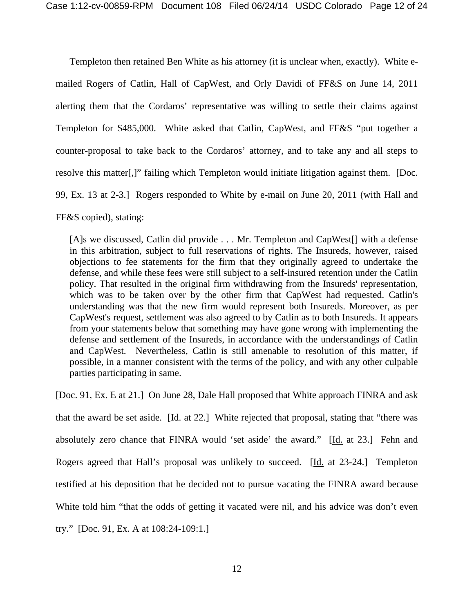Templeton then retained Ben White as his attorney (it is unclear when, exactly). White emailed Rogers of Catlin, Hall of CapWest, and Orly Davidi of FF&S on June 14, 2011 alerting them that the Cordaros' representative was willing to settle their claims against Templeton for \$485,000. White asked that Catlin, CapWest, and FF&S "put together a counter-proposal to take back to the Cordaros' attorney, and to take any and all steps to resolve this matter[,]" failing which Templeton would initiate litigation against them. [Doc. 99, Ex. 13 at 2-3.] Rogers responded to White by e-mail on June 20, 2011 (with Hall and

FF&S copied), stating:

[A]s we discussed, Catlin did provide . . . Mr. Templeton and CapWest<sup>[]</sup> with a defense in this arbitration, subject to full reservations of rights. The Insureds, however, raised objections to fee statements for the firm that they originally agreed to undertake the defense, and while these fees were still subject to a self-insured retention under the Catlin policy. That resulted in the original firm withdrawing from the Insureds' representation, which was to be taken over by the other firm that CapWest had requested. Catlin's understanding was that the new firm would represent both Insureds. Moreover, as per CapWest's request, settlement was also agreed to by Catlin as to both Insureds. It appears from your statements below that something may have gone wrong with implementing the defense and settlement of the Insureds, in accordance with the understandings of Catlin and CapWest. Nevertheless, Catlin is still amenable to resolution of this matter, if possible, in a manner consistent with the terms of the policy, and with any other culpable parties participating in same.

[Doc. 91, Ex. E at 21.] On June 28, Dale Hall proposed that White approach FINRA and ask that the award be set aside. [Id. at 22.] White rejected that proposal, stating that "there was absolutely zero chance that FINRA would 'set aside' the award." [Id. at 23.] Fehn and Rogers agreed that Hall's proposal was unlikely to succeed. [Id. at 23-24.] Templeton testified at his deposition that he decided not to pursue vacating the FINRA award because White told him "that the odds of getting it vacated were nil, and his advice was don't even try." [Doc. 91, Ex. A at 108:24-109:1.]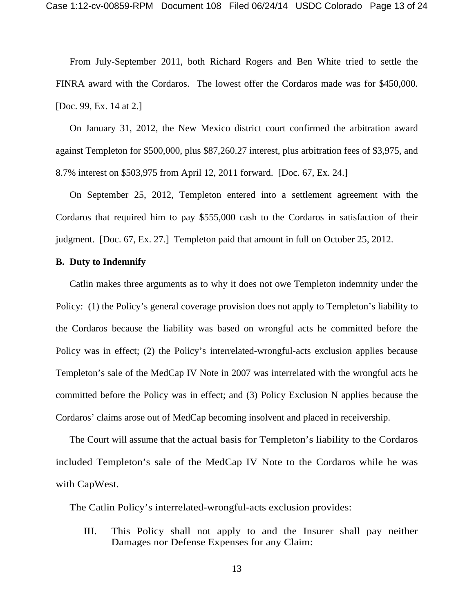From July-September 2011, both Richard Rogers and Ben White tried to settle the FINRA award with the Cordaros. The lowest offer the Cordaros made was for \$450,000. [Doc. 99, Ex. 14 at 2.]

 On January 31, 2012, the New Mexico district court confirmed the arbitration award against Templeton for \$500,000, plus \$87,260.27 interest, plus arbitration fees of \$3,975, and 8.7% interest on \$503,975 from April 12, 2011 forward. [Doc. 67, Ex. 24.]

 On September 25, 2012, Templeton entered into a settlement agreement with the Cordaros that required him to pay \$555,000 cash to the Cordaros in satisfaction of their judgment. [Doc. 67, Ex. 27.] Templeton paid that amount in full on October 25, 2012.

#### **B. Duty to Indemnify**

 Catlin makes three arguments as to why it does not owe Templeton indemnity under the Policy: (1) the Policy's general coverage provision does not apply to Templeton's liability to the Cordaros because the liability was based on wrongful acts he committed before the Policy was in effect; (2) the Policy's interrelated-wrongful-acts exclusion applies because Templeton's sale of the MedCap IV Note in 2007 was interrelated with the wrongful acts he committed before the Policy was in effect; and (3) Policy Exclusion N applies because the Cordaros' claims arose out of MedCap becoming insolvent and placed in receivership.

 The Court will assume that the actual basis for Templeton's liability to the Cordaros included Templeton's sale of the MedCap IV Note to the Cordaros while he was with CapWest.

The Catlin Policy's interrelated-wrongful-acts exclusion provides:

III. This Policy shall not apply to and the Insurer shall pay neither Damages nor Defense Expenses for any Claim: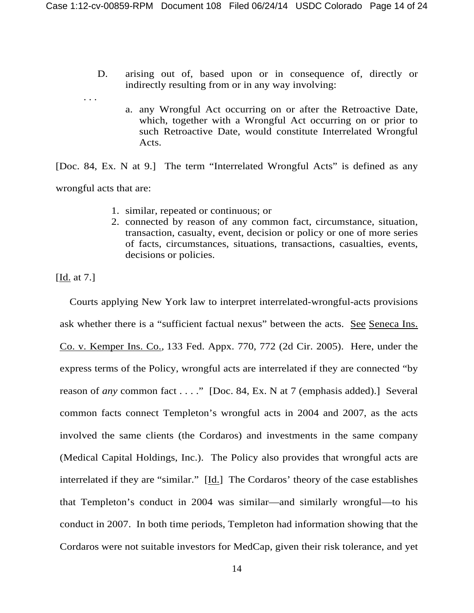- D. arising out of, based upon or in consequence of, directly or indirectly resulting from or in any way involving:
	- a. any Wrongful Act occurring on or after the Retroactive Date, which, together with a Wrongful Act occurring on or prior to such Retroactive Date, would constitute Interrelated Wrongful Acts.

[Doc. 84, Ex. N at 9.] The term "Interrelated Wrongful Acts" is defined as any wrongful acts that are:

- 1. similar, repeated or continuous; or
- 2. connected by reason of any common fact, circumstance, situation, transaction, casualty, event, decision or policy or one of more series of facts, circumstances, situations, transactions, casualties, events, decisions or policies.

[Id. at 7.]

. . .

Courts applying New York law to interpret interrelated-wrongful-acts provisions ask whether there is a "sufficient factual nexus" between the acts. See Seneca Ins. Co. v. Kemper Ins. Co.*,* 133 Fed. Appx. 770, 772 (2d Cir. 2005). Here, under the express terms of the Policy, wrongful acts are interrelated if they are connected "by reason of *any* common fact . . . ." [Doc. 84, Ex. N at 7 (emphasis added).] Several common facts connect Templeton's wrongful acts in 2004 and 2007, as the acts involved the same clients (the Cordaros) and investments in the same company (Medical Capital Holdings, Inc.). The Policy also provides that wrongful acts are interrelated if they are "similar." [Id.] The Cordaros' theory of the case establishes that Templeton's conduct in 2004 was similar—and similarly wrongful—to his conduct in 2007. In both time periods, Templeton had information showing that the Cordaros were not suitable investors for MedCap, given their risk tolerance, and yet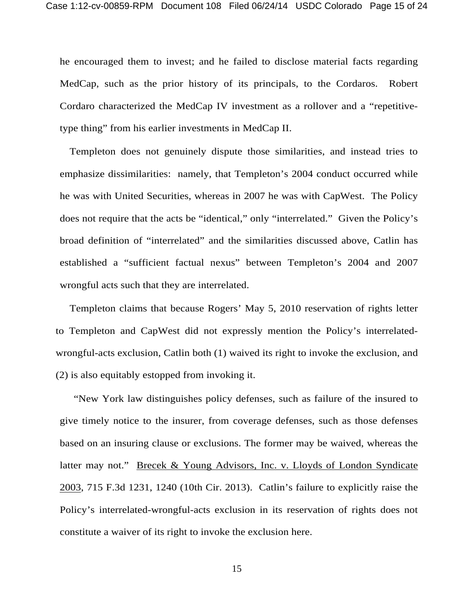he encouraged them to invest; and he failed to disclose material facts regarding MedCap, such as the prior history of its principals, to the Cordaros. Robert Cordaro characterized the MedCap IV investment as a rollover and a "repetitivetype thing" from his earlier investments in MedCap II.

Templeton does not genuinely dispute those similarities, and instead tries to emphasize dissimilarities: namely, that Templeton's 2004 conduct occurred while he was with United Securities, whereas in 2007 he was with CapWest. The Policy does not require that the acts be "identical," only "interrelated." Given the Policy's broad definition of "interrelated" and the similarities discussed above, Catlin has established a "sufficient factual nexus" between Templeton's 2004 and 2007 wrongful acts such that they are interrelated.

Templeton claims that because Rogers' May 5, 2010 reservation of rights letter to Templeton and CapWest did not expressly mention the Policy's interrelatedwrongful-acts exclusion, Catlin both (1) waived its right to invoke the exclusion, and (2) is also equitably estopped from invoking it.

"New York law distinguishes policy defenses, such as failure of the insured to give timely notice to the insurer, from coverage defenses, such as those defenses based on an insuring clause or exclusions. The former may be waived, whereas the latter may not." Brecek & Young Advisors, Inc. v. Lloyds of London Syndicate 2003, 715 F.3d 1231, 1240 (10th Cir. 2013). Catlin's failure to explicitly raise the Policy's interrelated-wrongful-acts exclusion in its reservation of rights does not constitute a waiver of its right to invoke the exclusion here.

15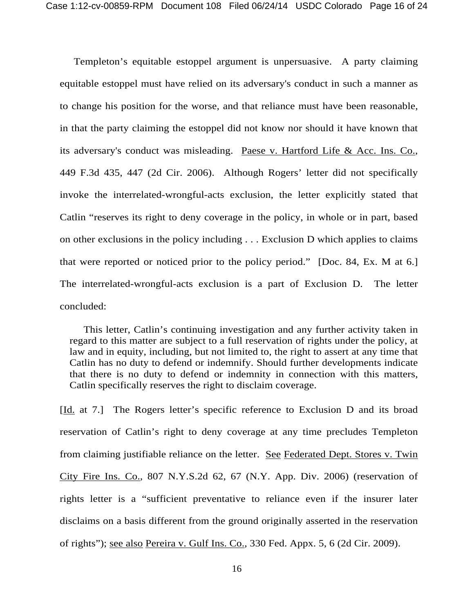Templeton's equitable estoppel argument is unpersuasive. A party claiming equitable estoppel must have relied on its adversary's conduct in such a manner as to change his position for the worse, and that reliance must have been reasonable, in that the party claiming the estoppel did not know nor should it have known that its adversary's conduct was misleading. Paese v. Hartford Life & Acc. Ins. Co., 449 F.3d 435, 447 (2d Cir. 2006). Although Rogers' letter did not specifically invoke the interrelated-wrongful-acts exclusion, the letter explicitly stated that Catlin "reserves its right to deny coverage in the policy, in whole or in part, based on other exclusions in the policy including . . . Exclusion D which applies to claims that were reported or noticed prior to the policy period." [Doc. 84, Ex. M at 6.] The interrelated-wrongful-acts exclusion is a part of Exclusion D. The letter concluded:

This letter, Catlin's continuing investigation and any further activity taken in regard to this matter are subject to a full reservation of rights under the policy, at law and in equity, including, but not limited to, the right to assert at any time that Catlin has no duty to defend or indemnify. Should further developments indicate that there is no duty to defend or indemnity in connection with this matters, Catlin specifically reserves the right to disclaim coverage.

[Id. at 7.] The Rogers letter's specific reference to Exclusion D and its broad reservation of Catlin's right to deny coverage at any time precludes Templeton from claiming justifiable reliance on the letter. See Federated Dept. Stores v. Twin City Fire Ins. Co., 807 N.Y.S.2d 62, 67 (N.Y. App. Div. 2006) (reservation of rights letter is a "sufficient preventative to reliance even if the insurer later disclaims on a basis different from the ground originally asserted in the reservation of rights"); see also Pereira v. Gulf Ins. Co., 330 Fed. Appx. 5, 6 (2d Cir. 2009).

16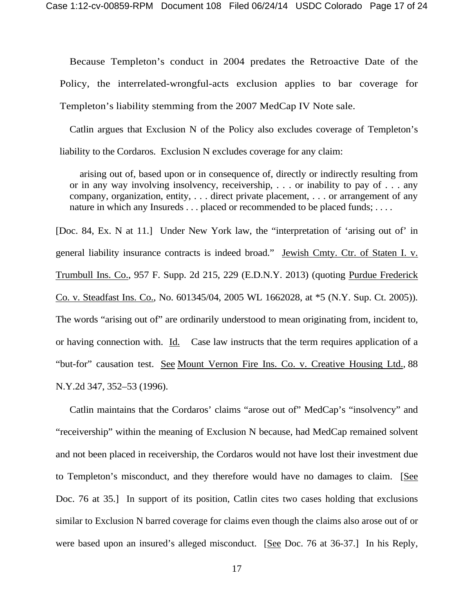Because Templeton's conduct in 2004 predates the Retroactive Date of the Policy, the interrelated-wrongful-acts exclusion applies to bar coverage for Templeton's liability stemming from the 2007 MedCap IV Note sale.

Catlin argues that Exclusion N of the Policy also excludes coverage of Templeton's liability to the Cordaros. Exclusion N excludes coverage for any claim:

arising out of, based upon or in consequence of, directly or indirectly resulting from or in any way involving insolvency, receivership, . . . or inability to pay of . . . any company, organization, entity, . . . direct private placement, . . . or arrangement of any nature in which any Insureds . . . placed or recommended to be placed funds; . . . .

[Doc. 84, Ex. N at 11.] Under New York law, the "interpretation of 'arising out of' in general liability insurance contracts is indeed broad." Jewish Cmty. Ctr. of Staten I. v. Trumbull Ins. Co., 957 F. Supp. 2d 215, 229 (E.D.N.Y. 2013) (quoting Purdue Frederick Co. v. Steadfast Ins. Co., No. 601345/04, 2005 WL 1662028, at \*5 (N.Y. Sup. Ct. 2005)). The words "arising out of" are ordinarily understood to mean originating from, incident to, or having connection with. Id. Case law instructs that the term requires application of a "but-for" causation test. See Mount Vernon Fire Ins. Co. v. Creative Housing Ltd.*,* 88 N.Y.2d 347, 352–53 (1996).

Catlin maintains that the Cordaros' claims "arose out of" MedCap's "insolvency" and "receivership" within the meaning of Exclusion N because, had MedCap remained solvent and not been placed in receivership, the Cordaros would not have lost their investment due to Templeton's misconduct, and they therefore would have no damages to claim. [See Doc. 76 at 35.] In support of its position, Catlin cites two cases holding that exclusions similar to Exclusion N barred coverage for claims even though the claims also arose out of or were based upon an insured's alleged misconduct. [See Doc. 76 at 36-37.] In his Reply,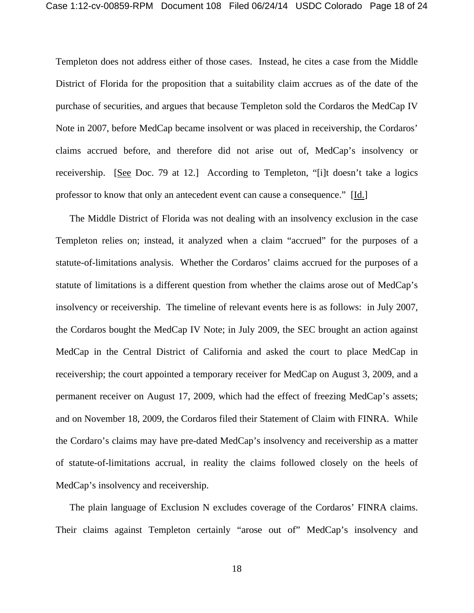Templeton does not address either of those cases. Instead, he cites a case from the Middle District of Florida for the proposition that a suitability claim accrues as of the date of the purchase of securities, and argues that because Templeton sold the Cordaros the MedCap IV Note in 2007, before MedCap became insolvent or was placed in receivership, the Cordaros' claims accrued before, and therefore did not arise out of, MedCap's insolvency or receivership. [See Doc. 79 at 12.] According to Templeton, "[i]t doesn't take a logics professor to know that only an antecedent event can cause a consequence." [Id.]

The Middle District of Florida was not dealing with an insolvency exclusion in the case Templeton relies on; instead, it analyzed when a claim "accrued" for the purposes of a statute-of-limitations analysis. Whether the Cordaros' claims accrued for the purposes of a statute of limitations is a different question from whether the claims arose out of MedCap's insolvency or receivership. The timeline of relevant events here is as follows: in July 2007, the Cordaros bought the MedCap IV Note; in July 2009, the SEC brought an action against MedCap in the Central District of California and asked the court to place MedCap in receivership; the court appointed a temporary receiver for MedCap on August 3, 2009, and a permanent receiver on August 17, 2009, which had the effect of freezing MedCap's assets; and on November 18, 2009, the Cordaros filed their Statement of Claim with FINRA. While the Cordaro's claims may have pre-dated MedCap's insolvency and receivership as a matter of statute-of-limitations accrual, in reality the claims followed closely on the heels of MedCap's insolvency and receivership.

 The plain language of Exclusion N excludes coverage of the Cordaros' FINRA claims. Their claims against Templeton certainly "arose out of" MedCap's insolvency and

18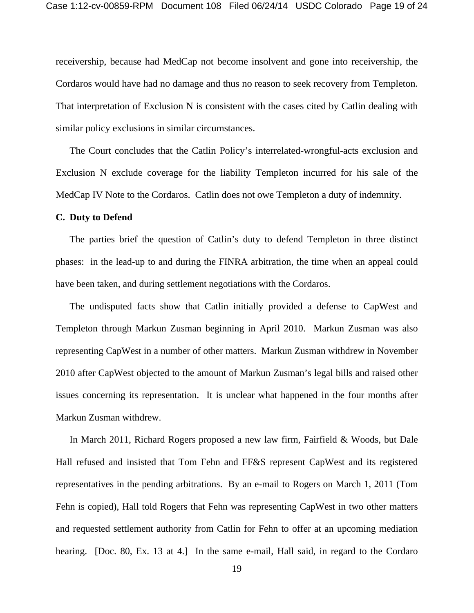receivership, because had MedCap not become insolvent and gone into receivership, the Cordaros would have had no damage and thus no reason to seek recovery from Templeton. That interpretation of Exclusion N is consistent with the cases cited by Catlin dealing with similar policy exclusions in similar circumstances.

 The Court concludes that the Catlin Policy's interrelated-wrongful-acts exclusion and Exclusion N exclude coverage for the liability Templeton incurred for his sale of the MedCap IV Note to the Cordaros. Catlin does not owe Templeton a duty of indemnity.

### **C. Duty to Defend**

The parties brief the question of Catlin's duty to defend Templeton in three distinct phases: in the lead-up to and during the FINRA arbitration, the time when an appeal could have been taken, and during settlement negotiations with the Cordaros.

The undisputed facts show that Catlin initially provided a defense to CapWest and Templeton through Markun Zusman beginning in April 2010. Markun Zusman was also representing CapWest in a number of other matters. Markun Zusman withdrew in November 2010 after CapWest objected to the amount of Markun Zusman's legal bills and raised other issues concerning its representation. It is unclear what happened in the four months after Markun Zusman withdrew.

In March 2011, Richard Rogers proposed a new law firm, Fairfield & Woods, but Dale Hall refused and insisted that Tom Fehn and FF&S represent CapWest and its registered representatives in the pending arbitrations. By an e-mail to Rogers on March 1, 2011 (Tom Fehn is copied), Hall told Rogers that Fehn was representing CapWest in two other matters and requested settlement authority from Catlin for Fehn to offer at an upcoming mediation hearing. [Doc. 80, Ex. 13 at 4.] In the same e-mail, Hall said, in regard to the Cordaro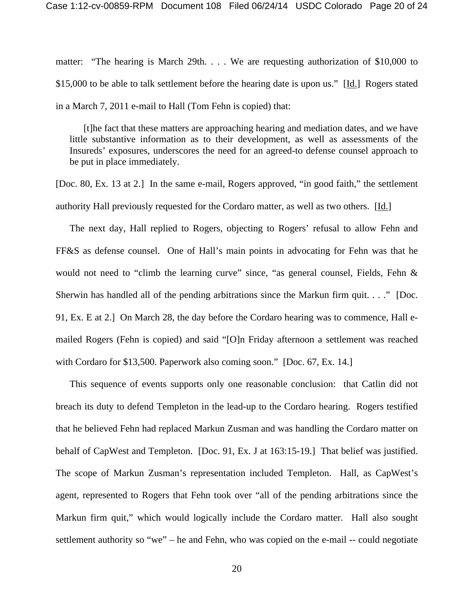matter: "The hearing is March 29th... We are requesting authorization of \$10,000 to \$15,000 to be able to talk settlement before the hearing date is upon us." [Id.] Rogers stated in a March 7, 2011 e-mail to Hall (Tom Fehn is copied) that:

[t]he fact that these matters are approaching hearing and mediation dates, and we have little substantive information as to their development, as well as assessments of the Insureds' exposures, underscores the need for an agreed-to defense counsel approach to be put in place immediately.

[Doc. 80, Ex. 13 at 2.] In the same e-mail, Rogers approved, "in good faith," the settlement authority Hall previously requested for the Cordaro matter, as well as two others. [Id.]

The next day, Hall replied to Rogers, objecting to Rogers' refusal to allow Fehn and FF&S as defense counsel. One of Hall's main points in advocating for Fehn was that he would not need to "climb the learning curve" since, "as general counsel, Fields, Fehn & Sherwin has handled all of the pending arbitrations since the Markun firm quit. . . ." [Doc. 91, Ex. E at 2.] On March 28, the day before the Cordaro hearing was to commence, Hall emailed Rogers (Fehn is copied) and said "[O]n Friday afternoon a settlement was reached with Cordaro for \$13,500. Paperwork also coming soon." [Doc. 67, Ex. 14.]

This sequence of events supports only one reasonable conclusion: that Catlin did not breach its duty to defend Templeton in the lead-up to the Cordaro hearing. Rogers testified that he believed Fehn had replaced Markun Zusman and was handling the Cordaro matter on behalf of CapWest and Templeton. [Doc. 91, Ex. J at 163:15-19.] That belief was justified. The scope of Markun Zusman's representation included Templeton. Hall, as CapWest's agent, represented to Rogers that Fehn took over "all of the pending arbitrations since the Markun firm quit," which would logically include the Cordaro matter. Hall also sought settlement authority so "we" – he and Fehn, who was copied on the e-mail -- could negotiate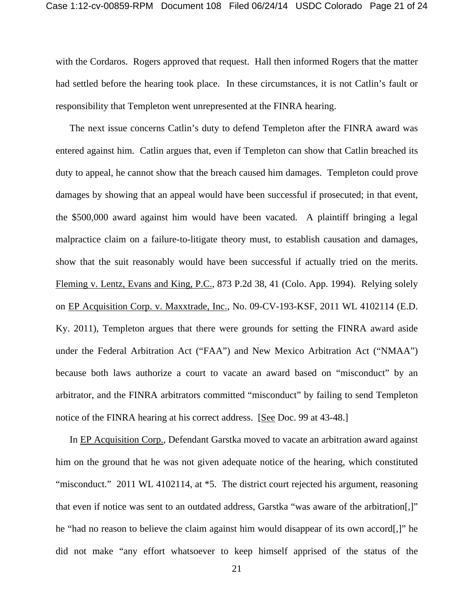with the Cordaros. Rogers approved that request. Hall then informed Rogers that the matter had settled before the hearing took place. In these circumstances, it is not Catlin's fault or responsibility that Templeton went unrepresented at the FINRA hearing.

The next issue concerns Catlin's duty to defend Templeton after the FINRA award was entered against him. Catlin argues that, even if Templeton can show that Catlin breached its duty to appeal, he cannot show that the breach caused him damages. Templeton could prove damages by showing that an appeal would have been successful if prosecuted; in that event, the \$500,000 award against him would have been vacated. A plaintiff bringing a legal malpractice claim on a failure-to-litigate theory must, to establish causation and damages, show that the suit reasonably would have been successful if actually tried on the merits. Fleming v. Lentz, Evans and King, P.C., 873 P.2d 38, 41 (Colo. App. 1994). Relying solely on EP Acquisition Corp. v. Maxxtrade, Inc., No. 09-CV-193-KSF, 2011 WL 4102114 (E.D. Ky. 2011), Templeton argues that there were grounds for setting the FINRA award aside under the Federal Arbitration Act ("FAA") and New Mexico Arbitration Act ("NMAA") because both laws authorize a court to vacate an award based on "misconduct" by an arbitrator, and the FINRA arbitrators committed "misconduct" by failing to send Templeton notice of the FINRA hearing at his correct address. [See Doc. 99 at 43-48.]

In EP Acquisition Corp., Defendant Garstka moved to vacate an arbitration award against him on the ground that he was not given adequate notice of the hearing, which constituted "misconduct." 2011 WL 4102114, at \*5. The district court rejected his argument, reasoning that even if notice was sent to an outdated address, Garstka "was aware of the arbitration[,]" he "had no reason to believe the claim against him would disappear of its own accord[,]" he did not make "any effort whatsoever to keep himself apprised of the status of the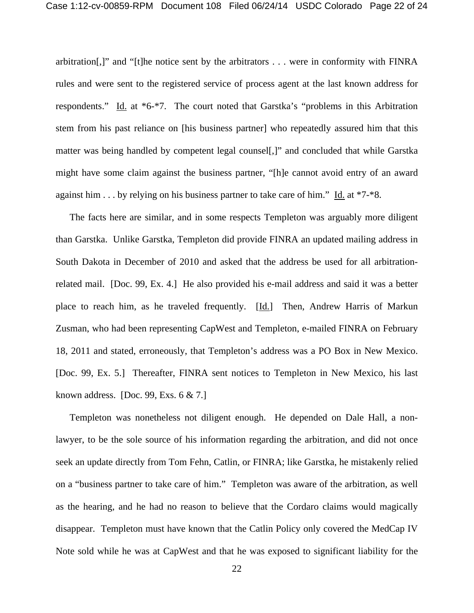arbitration[,]" and "[t]he notice sent by the arbitrators . . . were in conformity with FINRA rules and were sent to the registered service of process agent at the last known address for respondents." Id. at  $*6-*7$ . The court noted that Garstka's "problems in this Arbitration stem from his past reliance on [his business partner] who repeatedly assured him that this matter was being handled by competent legal counsel[,]" and concluded that while Garstka might have some claim against the business partner, "[h]e cannot avoid entry of an award against him . . . by relying on his business partner to take care of him." Id. at \*7-\*8.

The facts here are similar, and in some respects Templeton was arguably more diligent than Garstka. Unlike Garstka, Templeton did provide FINRA an updated mailing address in South Dakota in December of 2010 and asked that the address be used for all arbitrationrelated mail. [Doc. 99, Ex. 4.] He also provided his e-mail address and said it was a better place to reach him, as he traveled frequently. [Id.] Then, Andrew Harris of Markun Zusman, who had been representing CapWest and Templeton, e-mailed FINRA on February 18, 2011 and stated, erroneously, that Templeton's address was a PO Box in New Mexico. [Doc. 99, Ex. 5.] Thereafter, FINRA sent notices to Templeton in New Mexico, his last known address. [Doc. 99, Exs. 6 & 7.]

 Templeton was nonetheless not diligent enough. He depended on Dale Hall, a nonlawyer, to be the sole source of his information regarding the arbitration, and did not once seek an update directly from Tom Fehn, Catlin, or FINRA; like Garstka, he mistakenly relied on a "business partner to take care of him." Templeton was aware of the arbitration, as well as the hearing, and he had no reason to believe that the Cordaro claims would magically disappear. Templeton must have known that the Catlin Policy only covered the MedCap IV Note sold while he was at CapWest and that he was exposed to significant liability for the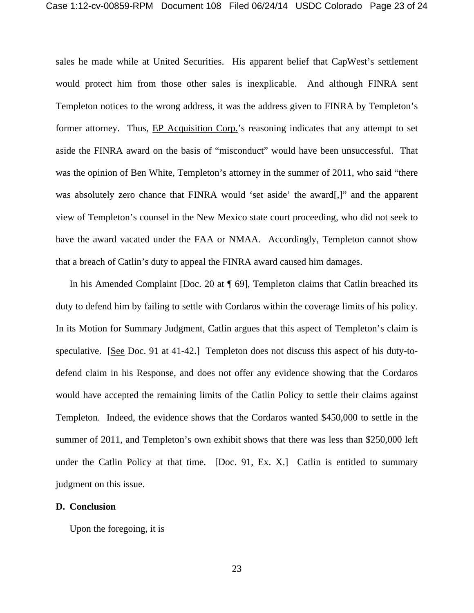sales he made while at United Securities. His apparent belief that CapWest's settlement would protect him from those other sales is inexplicable. And although FINRA sent Templeton notices to the wrong address, it was the address given to FINRA by Templeton's former attorney. Thus, EP Acquisition Corp.'s reasoning indicates that any attempt to set aside the FINRA award on the basis of "misconduct" would have been unsuccessful. That was the opinion of Ben White, Templeton's attorney in the summer of 2011, who said "there was absolutely zero chance that FINRA would 'set aside' the award[,]" and the apparent view of Templeton's counsel in the New Mexico state court proceeding, who did not seek to have the award vacated under the FAA or NMAA. Accordingly, Templeton cannot show that a breach of Catlin's duty to appeal the FINRA award caused him damages.

In his Amended Complaint [Doc. 20 at ¶ 69], Templeton claims that Catlin breached its duty to defend him by failing to settle with Cordaros within the coverage limits of his policy. In its Motion for Summary Judgment, Catlin argues that this aspect of Templeton's claim is speculative. [See Doc. 91 at 41-42.] Templeton does not discuss this aspect of his duty-todefend claim in his Response, and does not offer any evidence showing that the Cordaros would have accepted the remaining limits of the Catlin Policy to settle their claims against Templeton. Indeed, the evidence shows that the Cordaros wanted \$450,000 to settle in the summer of 2011, and Templeton's own exhibit shows that there was less than \$250,000 left under the Catlin Policy at that time. [Doc. 91, Ex. X.] Catlin is entitled to summary judgment on this issue.

### **D. Conclusion**

Upon the foregoing, it is